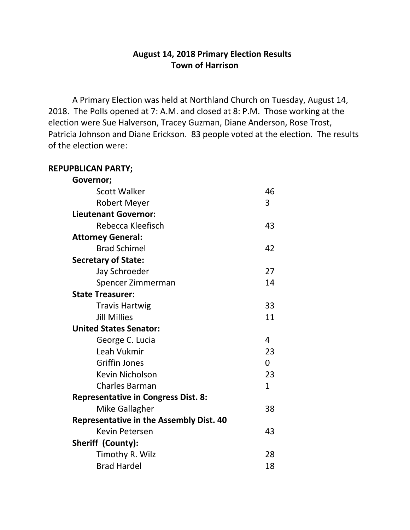## **August 14, 2018 Primary Election Results Town of Harrison**

A Primary Election was held at Northland Church on Tuesday, August 14, 2018. The Polls opened at 7: A.M. and closed at 8: P.M. Those working at the election were Sue Halverson, Tracey Guzman, Diane Anderson, Rose Trost, Patricia Johnson and Diane Erickson. 83 people voted at the election. The results of the election were:

## **REPUPBLICAN PARTY;**

| Governor;                                      |              |
|------------------------------------------------|--------------|
| <b>Scott Walker</b>                            | 46           |
| Robert Meyer                                   | 3            |
| <b>Lieutenant Governor:</b>                    |              |
| Rebecca Kleefisch                              | 43           |
| <b>Attorney General:</b>                       |              |
| <b>Brad Schimel</b>                            | 42           |
| <b>Secretary of State:</b>                     |              |
| Jay Schroeder                                  | 27           |
| Spencer Zimmerman                              | 14           |
| <b>State Treasurer:</b>                        |              |
| <b>Travis Hartwig</b>                          | 33           |
| <b>Jill Millies</b>                            | 11           |
| <b>United States Senator:</b>                  |              |
| George C. Lucia                                | 4            |
| Leah Vukmir                                    | 23           |
| <b>Griffin Jones</b>                           | $\Omega$     |
| <b>Kevin Nicholson</b>                         | 23           |
| <b>Charles Barman</b>                          | $\mathbf{1}$ |
| <b>Representative in Congress Dist. 8:</b>     |              |
| Mike Gallagher                                 | 38           |
| <b>Representative in the Assembly Dist. 40</b> |              |
| <b>Kevin Petersen</b>                          | 43           |
| <b>Sheriff (County):</b>                       |              |
| Timothy R. Wilz                                | 28           |
| <b>Brad Hardel</b>                             | 18           |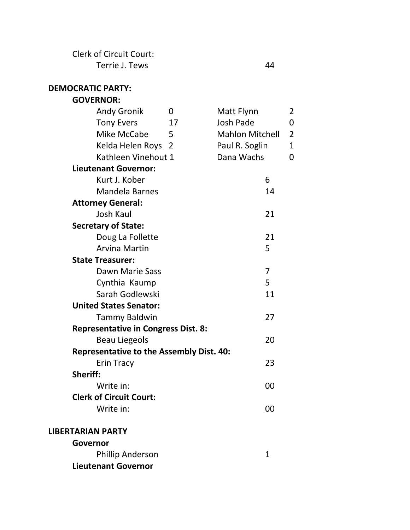Clerk of Circuit Court: Terrie J. Tews 44

| <b>DEMOCRATIC PARTY:</b>                        |    |                        |                |                |
|-------------------------------------------------|----|------------------------|----------------|----------------|
| <b>GOVERNOR:</b>                                |    |                        |                |                |
| <b>Andy Gronik</b>                              | 0  | Matt Flynn             |                | $\overline{2}$ |
| <b>Tony Evers</b>                               | 17 | <b>Josh Pade</b>       |                | 0              |
| Mike McCabe                                     | 5  | <b>Mahlon Mitchell</b> |                | $\overline{2}$ |
| Kelda Helen Roys 2                              |    | Paul R. Soglin         |                | $\mathbf{1}$   |
| Kathleen Vinehout 1                             |    | Dana Wachs             |                | 0              |
| <b>Lieutenant Governor:</b>                     |    |                        |                |                |
| Kurt J. Kober                                   |    |                        | 6              |                |
| <b>Mandela Barnes</b>                           |    |                        | 14             |                |
| <b>Attorney General:</b>                        |    |                        |                |                |
| <b>Josh Kaul</b>                                |    |                        | 21             |                |
| <b>Secretary of State:</b>                      |    |                        |                |                |
| Doug La Follette                                |    |                        | 21             |                |
| <b>Arvina Martin</b>                            |    |                        | 5              |                |
| <b>State Treasurer:</b>                         |    |                        |                |                |
| Dawn Marie Sass                                 |    |                        | $\overline{7}$ |                |
| Cynthia Kaump                                   |    |                        | 5              |                |
| Sarah Godlewski                                 |    |                        | 11             |                |
| <b>United States Senator:</b>                   |    |                        |                |                |
| <b>Tammy Baldwin</b>                            |    |                        | 27             |                |
| <b>Representative in Congress Dist. 8:</b>      |    |                        |                |                |
| <b>Beau Liegeols</b>                            |    |                        | 20             |                |
| <b>Representative to the Assembly Dist. 40:</b> |    |                        |                |                |
| <b>Erin Tracy</b>                               |    |                        | 23             |                |
| Sheriff:                                        |    |                        |                |                |
| Write in:                                       |    |                        | 00             |                |
| <b>Clerk of Circuit Court:</b>                  |    |                        |                |                |
| Write in:                                       |    |                        | 00             |                |
| <b>LIBERTARIAN PARTY</b>                        |    |                        |                |                |
| Governor                                        |    |                        |                |                |
| <b>Phillip Anderson</b>                         |    |                        | $\mathbf{1}$   |                |

**Lieutenant Governor**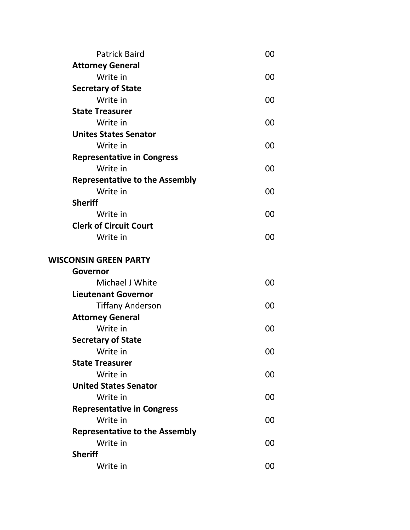| <b>Patrick Baird</b>                  | 00 |
|---------------------------------------|----|
| <b>Attorney General</b>               |    |
| Write in                              | 00 |
| <b>Secretary of State</b>             |    |
| Write in                              | 00 |
| <b>State Treasurer</b>                |    |
| Write in                              | 00 |
| <b>Unites States Senator</b>          |    |
| Write in                              | 00 |
| <b>Representative in Congress</b>     |    |
| Write in                              | 00 |
| <b>Representative to the Assembly</b> |    |
| Write in                              | 00 |
| <b>Sheriff</b>                        |    |
| Write in                              | 00 |
| <b>Clerk of Circuit Court</b>         |    |
| Write in                              | 00 |
| <b>WISCONSIN GREEN PARTY</b>          |    |
| Governor                              |    |
| Michael J White                       | 00 |
| <b>Lieutenant Governor</b>            |    |
| <b>Tiffany Anderson</b>               | 00 |
| <b>Attorney General</b>               |    |
| Write in                              | 00 |
| <b>Secretary of State</b>             |    |
| Write in                              | 00 |
| <b>State Treasurer</b>                |    |
| Write in                              | 00 |
| <b>United States Senator</b>          |    |
| Write in                              | 00 |
| <b>Representative in Congress</b>     |    |
| Write in                              | 00 |
| <b>Representative to the Assembly</b> |    |
| Write in                              | 00 |
| <b>Sheriff</b>                        |    |
| Write in                              | 00 |